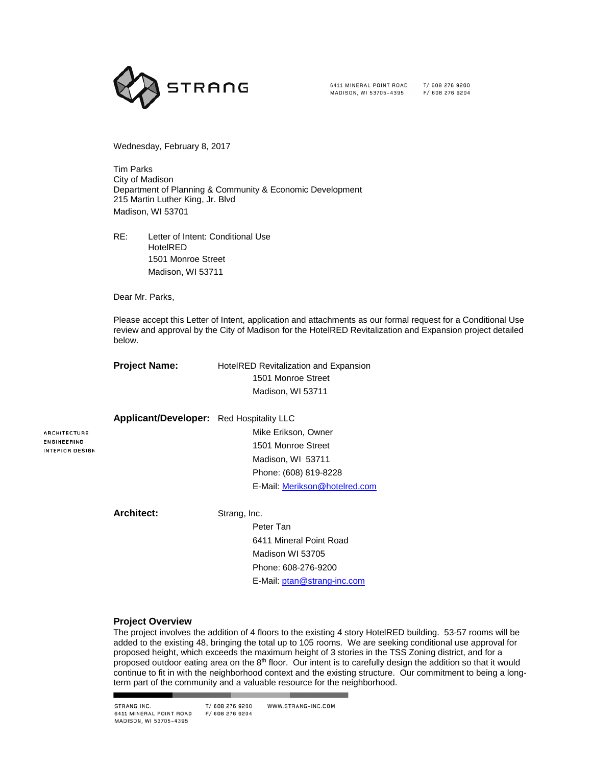

6411 MINERAL POINT ROAD MADISON, WI 53705-4395

T/ 608 276 9200 F/ 608 276 9204

Wednesday, February 8, 2017

Tim Parks City of Madison Department of Planning & Community & Economic Development 215 Martin Luther King, Jr. Blvd Madison, WI 53701

RE: Letter of Intent: Conditional Use HotelRED 1501 Monroe Street Madison, WI 53711

Dear Mr. Parks,

Please accept this Letter of Intent, application and attachments as our formal request for a Conditional Use review and approval by the City of Madison for the HotelRED Revitalization and Expansion project detailed below.

**Project Name:** HotelRED Revitalization and Expansion 1501 Monroe Street Madison, WI 53711

> Mike Erikson, Owner 1501 Monroe Street Madison, WI 53711 Phone: (608) 819-8228

**ARCHITECTURE** ENGINEERING INTERIOR DESIGN

**Applicant/Developer:** Red Hospitality LLC

**Architect:** Strang, Inc.

Peter Tan 6411 Mineral Point Road Madison WI 53705 Phone: 608-276-9200 E-Mail: [ptan@strang-inc.com](mailto:ptan@strang-inc.com)

E-Mail: Merikson@hotelred.com

## **Project Overview**

The project involves the addition of 4 floors to the existing 4 story HotelRED building. 53-57 rooms will be added to the existing 48, bringing the total up to 105 rooms. We are seeking conditional use approval for proposed height, which exceeds the maximum height of 3 stories in the TSS Zoning district, and for a proposed outdoor eating area on the 8<sup>th</sup> floor. Our intent is to carefully design the addition so that it would continue to fit in with the neighborhood context and the existing structure. Our commitment to being a longterm part of the community and a valuable resource for the neighborhood.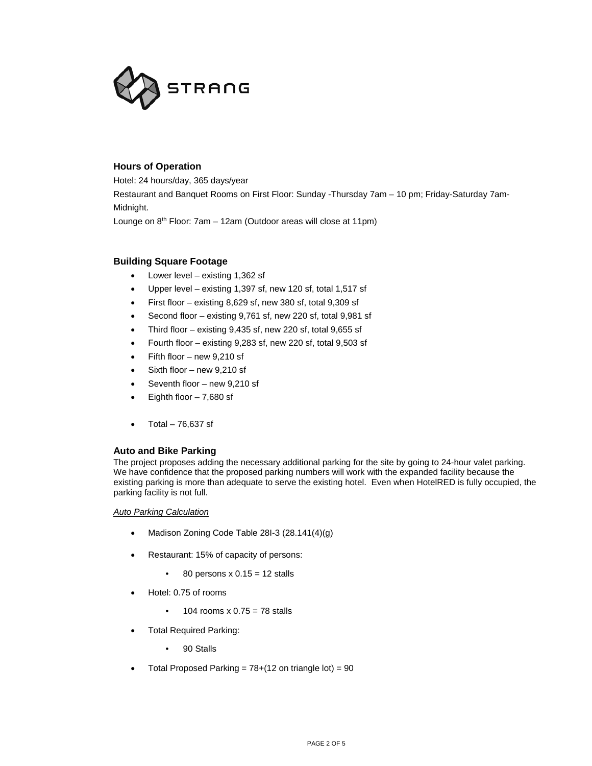

# **Hours of Operation**

Hotel: 24 hours/day, 365 days/year

Restaurant and Banquet Rooms on First Floor: Sunday -Thursday 7am – 10 pm; Friday-Saturday 7am-Midnight.

Lounge on 8<sup>th</sup> Floor: 7am - 12am (Outdoor areas will close at 11pm)

## **Building Square Footage**

- Lower level existing 1,362 sf
- Upper level existing 1,397 sf, new 120 sf, total 1,517 sf
- First floor existing 8,629 sf, new 380 sf, total 9,309 sf
- Second floor existing 9,761 sf, new 220 sf, total 9,981 sf
- Third floor existing  $9,435$  sf, new 220 sf, total  $9,655$  sf
- Fourth floor existing 9,283 sf, new 220 sf, total 9,503 sf
- Fifth floor  $-$  new 9,210 sf
- Sixth floor new 9,210 sf
- Seventh floor new 9,210 sf
- Eighth floor  $-7,680$  sf
- Total 76,637 sf

## **Auto and Bike Parking**

The project proposes adding the necessary additional parking for the site by going to 24-hour valet parking. We have confidence that the proposed parking numbers will work with the expanded facility because the existing parking is more than adequate to serve the existing hotel. Even when HotelRED is fully occupied, the parking facility is not full.

*Auto Parking Calculation*

- Madison Zoning Code Table 28I-3 (28.141(4)(g)
- Restaurant: 15% of capacity of persons:
	- 80 persons  $x$  0.15 = 12 stalls
- Hotel: 0.75 of rooms
	- $\cdot$  104 rooms x 0.75 = 78 stalls
- Total Required Parking:
	- 90 Stalls
- Total Proposed Parking =  $78+(12)$  on triangle lot) = 90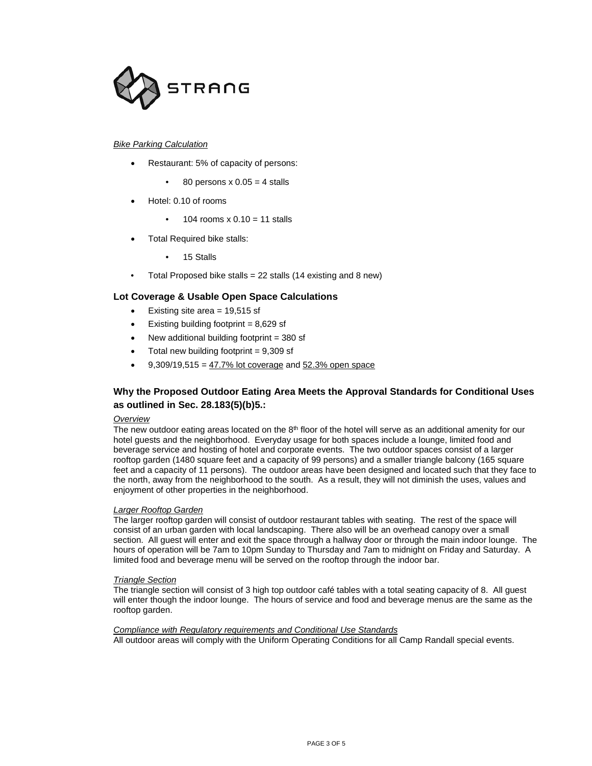

### *Bike Parking Calculation*

- Restaurant: 5% of capacity of persons:
	- $\bullet$  80 persons x 0.05 = 4 stalls
- Hotel: 0.10 of rooms
	- 104 rooms  $x$  0.10 = 11 stalls
- Total Required bike stalls:
	- 15 Stalls
- Total Proposed bike stalls = 22 stalls (14 existing and 8 new)

## **Lot Coverage & Usable Open Space Calculations**

- Existing site area  $= 19,515$  sf
- Existing building footprint  $= 8,629$  sf
- New additional building footprint = 380 sf
- Total new building footprint  $= 9,309$  sf
- $9,309/19,515 = 47.7\%$  lot coverage and 52.3% open space

# **Why the Proposed Outdoor Eating Area Meets the Approval Standards for Conditional Uses as outlined in Sec. 28.183(5)(b)5.:**

#### *Overview*

The new outdoor eating areas located on the 8<sup>th</sup> floor of the hotel will serve as an additional amenity for our hotel guests and the neighborhood. Everyday usage for both spaces include a lounge, limited food and beverage service and hosting of hotel and corporate events. The two outdoor spaces consist of a larger rooftop garden (1480 square feet and a capacity of 99 persons) and a smaller triangle balcony (165 square feet and a capacity of 11 persons). The outdoor areas have been designed and located such that they face to the north, away from the neighborhood to the south. As a result, they will not diminish the uses, values and enjoyment of other properties in the neighborhood.

#### *Larger Rooftop Garden*

The larger rooftop garden will consist of outdoor restaurant tables with seating. The rest of the space will consist of an urban garden with local landscaping. There also will be an overhead canopy over a small section. All guest will enter and exit the space through a hallway door or through the main indoor lounge. The hours of operation will be 7am to 10pm Sunday to Thursday and 7am to midnight on Friday and Saturday. A limited food and beverage menu will be served on the rooftop through the indoor bar.

#### *Triangle Section*

The triangle section will consist of 3 high top outdoor café tables with a total seating capacity of 8. All guest will enter though the indoor lounge. The hours of service and food and beverage menus are the same as the rooftop garden.

#### *Compliance with Regulatory requirements and Conditional Use Standards*

All outdoor areas will comply with the Uniform Operating Conditions for all Camp Randall special events.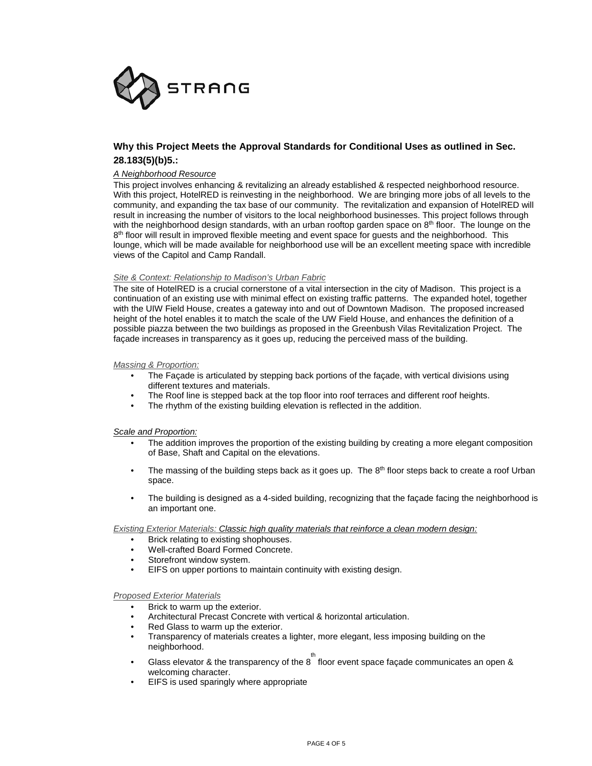

# **Why this Project Meets the Approval Standards for Conditional Uses as outlined in Sec. 28.183(5)(b)5.:**

## *A Neighborhood Resource*

This project involves enhancing & revitalizing an already established & respected neighborhood resource. With this project, HotelRED is reinvesting in the neighborhood. We are bringing more jobs of all levels to the community, and expanding the tax base of our community. The revitalization and expansion of HotelRED will result in increasing the number of visitors to the local neighborhood businesses. This project follows through with the neighborhood design standards, with an urban rooftop garden space on  $8<sup>th</sup>$  floor. The lounge on the  $8<sup>th</sup>$  floor will result in improved flexible meeting and event space for guests and the neighborhood. This lounge, which will be made available for neighborhood use will be an excellent meeting space with incredible views of the Capitol and Camp Randall.

#### *Site & Context: Relationship to Madison's Urban Fabric*

The site of HotelRED is a crucial cornerstone of a vital intersection in the city of Madison. This project is a continuation of an existing use with minimal effect on existing traffic patterns. The expanded hotel, together with the UIW Field House, creates a gateway into and out of Downtown Madison. The proposed increased height of the hotel enables it to match the scale of the UW Field House, and enhances the definition of a possible piazza between the two buildings as proposed in the Greenbush Vilas Revitalization Project. The façade increases in transparency as it goes up, reducing the perceived mass of the building.

### *Massing & Proportion:*

- The Façade is articulated by stepping back portions of the façade, with vertical divisions using different textures and materials.
- The Roof line is stepped back at the top floor into roof terraces and different roof heights.
- The rhythm of the existing building elevation is reflected in the addition.

#### *Scale and Proportion:*

- The addition improves the proportion of the existing building by creating a more elegant composition of Base, Shaft and Capital on the elevations.
- The massing of the building steps back as it goes up. The 8<sup>th</sup> floor steps back to create a roof Urban space.
- The building is designed as a 4-sided building, recognizing that the façade facing the neighborhood is an important one.

#### *Existing Exterior Materials: Classic high quality materials that reinforce a clean modern design:*

- Brick relating to existing shophouses.
- Well-crafted Board Formed Concrete.
- Storefront window system.
- EIFS on upper portions to maintain continuity with existing design.

#### *Proposed Exterior Materials*

- Brick to warm up the exterior.
- Architectural Precast Concrete with vertical & horizontal articulation.
- Red Glass to warm up the exterior.
- Transparency of materials creates a lighter, more elegant, less imposing building on the neighborhood.
- Glass elevator & the transparency of the  $8^{th}$  floor event space façade communicates an open & welcoming character.
- EIFS is used sparingly where appropriate